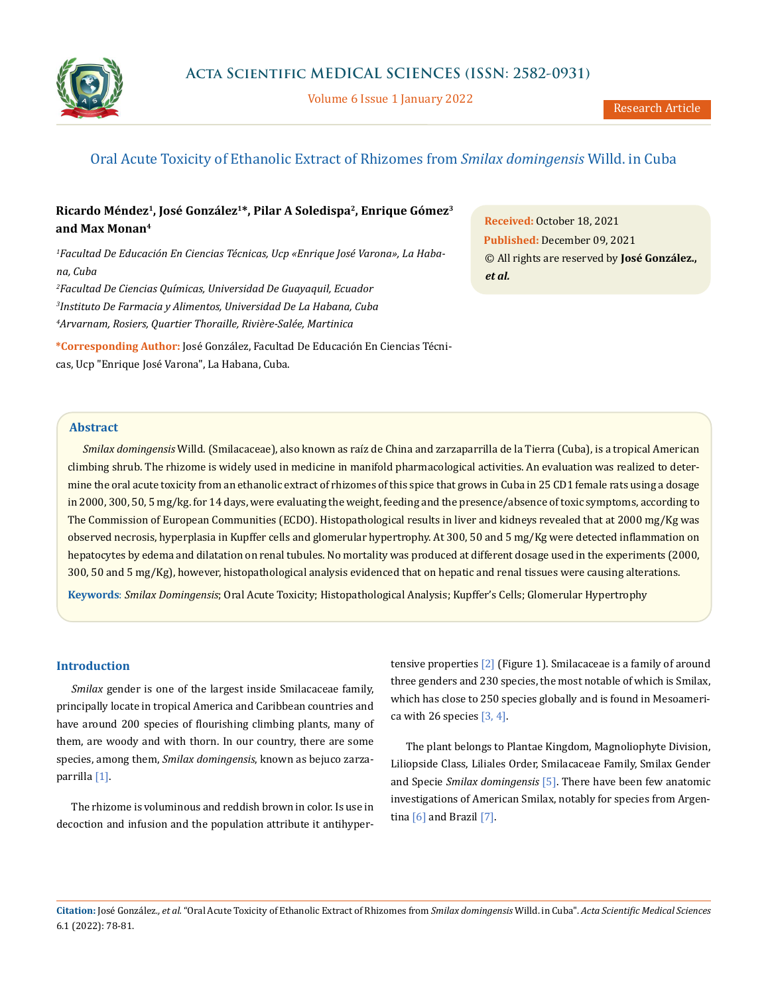

Volume 6 Issue 1 January 2022

# Oral Acute Toxicity of Ethanolic Extract of Rhizomes from *Smilax domingensis* Willd. in Cuba

## **Ricardo Méndez1, José González1\*, Pilar A Soledispa2, Enrique Gómez3 and Max Monan4**

*1 Facultad De Educación En Ciencias Técnicas, Ucp «Enrique José Varona», La Habana, Cuba*

*2 Facultad De Ciencias Químicas, Universidad De Guayaquil, Ecuador 3 Instituto De Farmacia y Alimentos, Universidad De La Habana, Cuba* 

*4 Arvarnam, Rosiers, Quartier Thoraille, Rivière-Salée, Martinica*

**\*Corresponding Author:** José González, Facultad De Educación En Ciencias Técnicas, Ucp "Enrique José Varona", La Habana, Cuba.

**Received:** October 18, 2021 **Published:** December 09, 2021 © All rights are reserved by **José González.,**  *et al.*

### **Abstract**

*Smilax domingensis* Willd. (Smilacaceae), also known as raíz de China and zarzaparrilla de la Tierra (Cuba), is a tropical American climbing shrub. The rhizome is widely used in medicine in manifold pharmacological activities. An evaluation was realized to determine the oral acute toxicity from an ethanolic extract of rhizomes of this spice that grows in Cuba in 25 CD1 female rats using a dosage in 2000, 300, 50, 5 mg/kg. for 14 days, were evaluating the weight, feeding and the presence/absence of toxic symptoms, according to The Commission of European Communities (ECDO). Histopathological results in liver and kidneys revealed that at 2000 mg/Kg was observed necrosis, hyperplasia in Kupffer cells and glomerular hypertrophy. At 300, 50 and 5 mg/Kg were detected inflammation on hepatocytes by edema and dilatation on renal tubules. No mortality was produced at different dosage used in the experiments (2000, 300, 50 and 5 mg/Kg), however, histopathological analysis evidenced that on hepatic and renal tissues were causing alterations.

**Keywords**: *Smilax Domingensis*; Oral Acute Toxicity; Histopathological Analysis; Kupffer's Cells; Glomerular Hypertrophy

#### **Introduction**

*Smilax* gender is one of the largest inside Smilacaceae family, principally locate in tropical America and Caribbean countries and have around 200 species of flourishing climbing plants, many of them, are woody and with thorn. In our country, there are some species, among them, *Smilax domingensis*, known as bejuco zarzaparrilla [1].

The rhizome is voluminous and reddish brown in color. Is use in decoction and infusion and the population attribute it antihypertensive properties [2] (Figure 1). Smilacaceae is a family of around three genders and 230 species, the most notable of which is Smilax, which has close to 250 species globally and is found in Mesoamerica with 26 species  $[3, 4]$ .

The plant belongs to Plantae Kingdom, Magnoliophyte Division, Liliopside Class, Liliales Order, Smilacaceae Family, Smilax Gender and Specie *Smilax domingensis* [5]. There have been few anatomic investigations of American Smilax, notably for species from Argentina  $[6]$  and Brazil  $[7]$ .

**Citation:** José González*., et al.* "Oral Acute Toxicity of Ethanolic Extract of Rhizomes from *Smilax domingensis* Willd. in Cuba". *Acta Scientific Medical Sciences*  6.1 (2022): 78-81.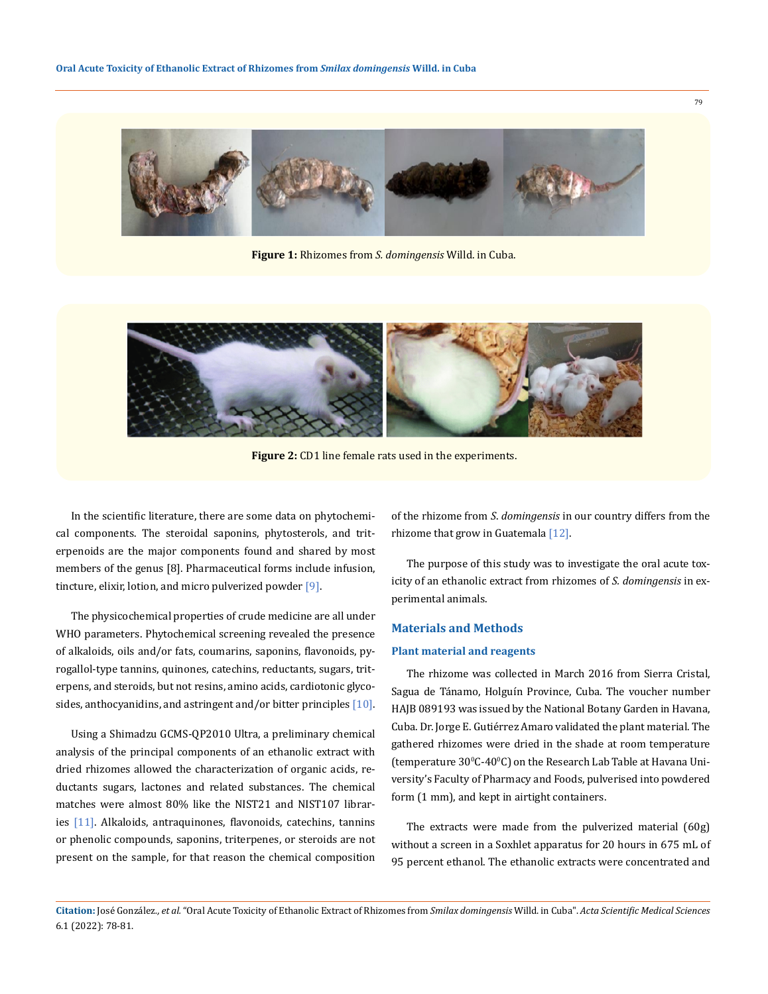

**Figure 1:** Rhizomes from *S. domingensis* Willd. in Cuba.



Figure 2: CD1 line female rats used in the experiments.

In the scientific literature, there are some data on phytochemical components. The steroidal saponins, phytosterols, and triterpenoids are the major components found and shared by most members of the genus [8]. Pharmaceutical forms include infusion, tincture, elixir, lotion, and micro pulverized powder [9].

The physicochemical properties of crude medicine are all under WHO parameters. Phytochemical screening revealed the presence of alkaloids, oils and/or fats, coumarins, saponins, flavonoids, pyrogallol-type tannins, quinones, catechins, reductants, sugars, triterpens, and steroids, but not resins, amino acids, cardiotonic glycosides, anthocyanidins, and astringent and/or bitter principles  $[10]$ .

Using a Shimadzu GCMS-QP2010 Ultra, a preliminary chemical analysis of the principal components of an ethanolic extract with dried rhizomes allowed the characterization of organic acids, reductants sugars, lactones and related substances. The chemical matches were almost 80% like the NIST21 and NIST107 libraries [11]. Alkaloids, antraquinones, flavonoids, catechins, tannins or phenolic compounds, saponins, triterpenes, or steroids are not present on the sample, for that reason the chemical composition of the rhizome from *S*. *domingensis* in our country differs from the rhizome that grow in Guatemala [12].

The purpose of this study was to investigate the oral acute toxicity of an ethanolic extract from rhizomes of *S. domingensis* in experimental animals.

#### **Materials and Methods**

#### **Plant material and reagents**

The rhizome was collected in March 2016 from Sierra Cristal, Sagua de Tánamo, Holguín Province, Cuba. The voucher number HAJB 089193 was issued by the National Botany Garden in Havana, Cuba. Dr. Jorge E. Gutiérrez Amaro validated the plant material. The gathered rhizomes were dried in the shade at room temperature (temperature 30°C-40°C) on the Research Lab Table at Havana University's Faculty of Pharmacy and Foods, pulverised into powdered form (1 mm), and kept in airtight containers.

The extracts were made from the pulverized material (60g) without a screen in a Soxhlet apparatus for 20 hours in 675 mL of 95 percent ethanol. The ethanolic extracts were concentrated and

79

**Citation:** José González*., et al.* "Oral Acute Toxicity of Ethanolic Extract of Rhizomes from *Smilax domingensis* Willd. in Cuba". *Acta Scientific Medical Sciences*  6.1 (2022): 78-81.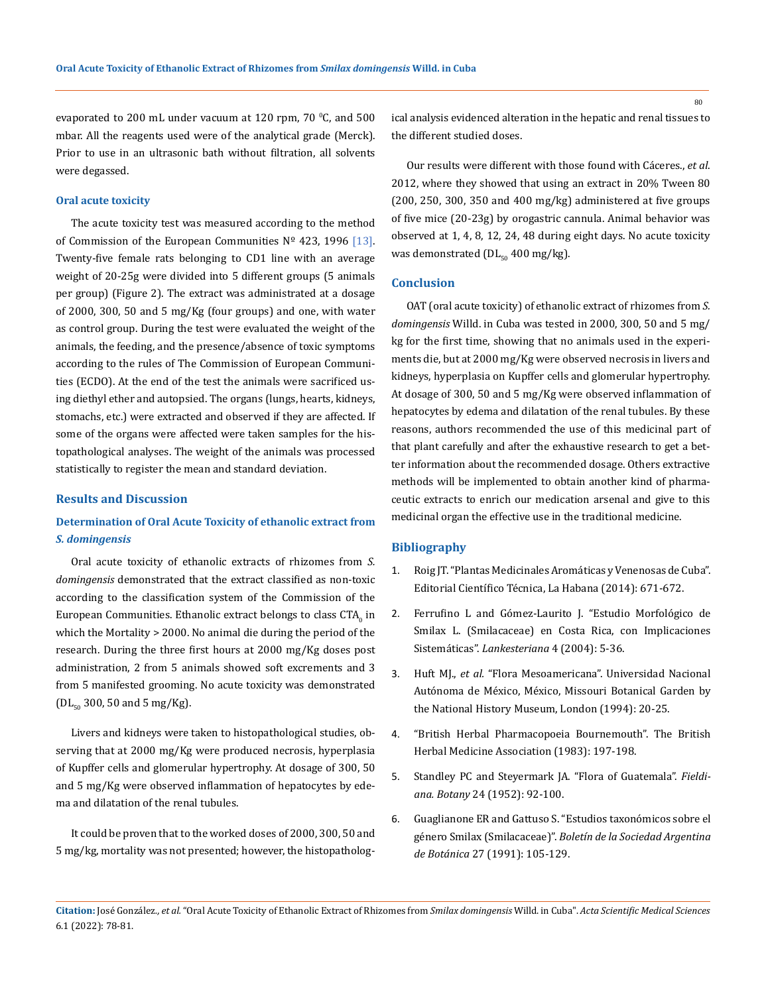evaporated to 200 mL under vacuum at 120 rpm, 70 °C, and 500 mbar. All the reagents used were of the analytical grade (Merck). Prior to use in an ultrasonic bath without filtration, all solvents were degassed.

#### **Oral acute toxicity**

The acute toxicity test was measured according to the method of Commission of the European Communities  $N^{\circ}$  423, 1996 [13]. Twenty-five female rats belonging to CD1 line with an average weight of 20-25g were divided into 5 different groups (5 animals per group) (Figure 2). The extract was administrated at a dosage of 2000, 300, 50 and 5 mg/Kg (four groups) and one, with water as control group. During the test were evaluated the weight of the animals, the feeding, and the presence/absence of toxic symptoms according to the rules of The Commission of European Communities (ECDO). At the end of the test the animals were sacrificed using diethyl ether and autopsied. The organs (lungs, hearts, kidneys, stomachs, etc.) were extracted and observed if they are affected. If some of the organs were affected were taken samples for the histopathological analyses. The weight of the animals was processed statistically to register the mean and standard deviation.

#### **Results and Discussion**

### **Determination of Oral Acute Toxicity of ethanolic extract from** *S. domingensis*

Oral acute toxicity of ethanolic extracts of rhizomes from *S. domingensis* demonstrated that the extract classified as non-toxic according to the classification system of the Commission of the European Communities. Ethanolic extract belongs to class  $CIA_0$  in which the Mortality > 2000. No animal die during the period of the research. During the three first hours at 2000 mg/Kg doses post administration, 2 from 5 animals showed soft excrements and 3 from 5 manifested grooming. No acute toxicity was demonstrated  $[DL_{50} 300, 50$  and 5 mg/Kg).

Livers and kidneys were taken to histopathological studies, observing that at 2000 mg/Kg were produced necrosis, hyperplasia of Kupffer cells and glomerular hypertrophy. At dosage of 300, 50 and 5 mg/Kg were observed inflammation of hepatocytes by edema and dilatation of the renal tubules.

It could be proven that to the worked doses of 2000, 300, 50 and 5 mg/kg, mortality was not presented; however, the histopathological analysis evidenced alteration in the hepatic and renal tissues to the different studied doses.

Our results were different with those found with Cáceres., *et al*. 2012, where they showed that using an extract in 20% Tween 80  $(200, 250, 300, 350, 300, 400, 900)$  administered at five groups of five mice (20-23g) by orogastric cannula. Animal behavior was observed at 1, 4, 8, 12, 24, 48 during eight days. No acute toxicity was demonstrated ( $DL_{50}$  400 mg/kg).

### **Conclusion**

OAT (oral acute toxicity) of ethanolic extract of rhizomes from *S. domingensis* Willd. in Cuba was tested in 2000, 300, 50 and 5 mg/ kg for the first time, showing that no animals used in the experiments die, but at 2000 mg/Kg were observed necrosis in livers and kidneys, hyperplasia on Kupffer cells and glomerular hypertrophy. At dosage of 300, 50 and 5 mg/Kg were observed inflammation of hepatocytes by edema and dilatation of the renal tubules. By these reasons, authors recommended the use of this medicinal part of that plant carefully and after the exhaustive research to get a better information about the recommended dosage. Others extractive methods will be implemented to obtain another kind of pharmaceutic extracts to enrich our medication arsenal and give to this medicinal organ the effective use in the traditional medicine.

#### **Bibliography**

- 1. [Roig JT. "Plantas Medicinales Aromáticas y Venenosas de Cuba".](https://www.amazon.in/Plantas-medicinales-arom%C3%A1ticas-venenosas-Spanish-ebook/dp/B01JIF9WFG)  [Editorial Científico Técnica, La Habana \(2014\): 671-672.](https://www.amazon.in/Plantas-medicinales-arom%C3%A1ticas-venenosas-Spanish-ebook/dp/B01JIF9WFG)
- 2. [Ferrufino L and Gómez-Laurito J. "Estudio Morfológico de](https://www.researchgate.net/publication/292944688_Estudio_morfologico_de_Smilax_L_Smilacaceae_en_Costa_Rica_con_implicaciones_sistematicas) [Smilax L. \(Smilacaceae\) en Costa Rica, con Implicaciones](https://www.researchgate.net/publication/292944688_Estudio_morfologico_de_Smilax_L_Smilacaceae_en_Costa_Rica_con_implicaciones_sistematicas) Sistemáticas". *[Lankesteriana](https://www.researchgate.net/publication/292944688_Estudio_morfologico_de_Smilax_L_Smilacaceae_en_Costa_Rica_con_implicaciones_sistematicas)* 4 (2004): 5-36.
- 3. Huft MJ., *et al.* ["Flora Mesoamericana". Universidad Nacional](https://www.missouribotanicalgarden.org/media/fact-pages/flora-mesoamericana.aspx)  [Autónoma de México, México, Missouri Botanical Garden by](https://www.missouribotanicalgarden.org/media/fact-pages/flora-mesoamericana.aspx) [the National History Museum, London \(1994\): 20-25.](https://www.missouribotanicalgarden.org/media/fact-pages/flora-mesoamericana.aspx)
- 4. ["British Herbal Pharmacopoeia Bournemouth". The British](https://bhma.info/product/british-herbal-pharmacopoeia-1983/) [Herbal Medicine Association \(1983\): 197-198.](https://bhma.info/product/british-herbal-pharmacopoeia-1983/)
- 5. Standley PC and Steyermark JA. "Flora of Guatemala". *Fieldiana. Botany* 24 (1952): 92-100.
- 6. [Guaglianone ER and Gattuso S. "Estudios taxonómicos sobre el](https://botanicaargentina.org.ar/estudios-taxonomicos-sobre-el-genero-smilax-smilacaceae/)  género Smilax (Smilacaceae)". *[Boletín de la Sociedad Argentina](https://botanicaargentina.org.ar/estudios-taxonomicos-sobre-el-genero-smilax-smilacaceae/) de Botánica* [27 \(1991\): 105-129.](https://botanicaargentina.org.ar/estudios-taxonomicos-sobre-el-genero-smilax-smilacaceae/)

80

**Citation:** José González*., et al.* "Oral Acute Toxicity of Ethanolic Extract of Rhizomes from *Smilax domingensis* Willd. in Cuba". *Acta Scientific Medical Sciences*  6.1 (2022): 78-81.